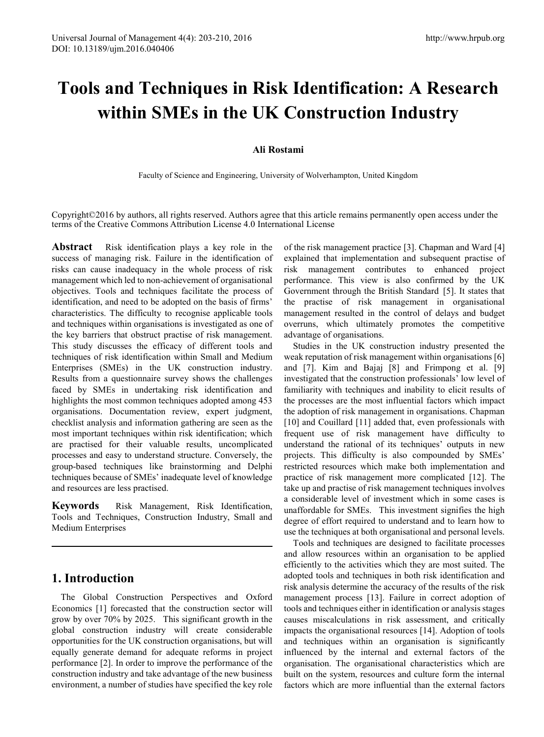# **Tools and Techniques in Risk Identification: A Research within SMEs in the UK Construction Industry**

### **Ali Rostami**

Faculty of Science and Engineering, University of Wolverhampton, United Kingdom

Copyright©2016 by authors, all rights reserved. Authors agree that this article remains permanently open access under the terms of the Creative Commons Attribution License 4.0 International License

**Abstract** Risk identification plays a key role in the success of managing risk. Failure in the identification of risks can cause inadequacy in the whole process of risk management which led to non-achievement of organisational objectives. Tools and techniques facilitate the process of identification, and need to be adopted on the basis of firms' characteristics. The difficulty to recognise applicable tools and techniques within organisations is investigated as one of the key barriers that obstruct practise of risk management. This study discusses the efficacy of different tools and techniques of risk identification within Small and Medium Enterprises (SMEs) in the UK construction industry. Results from a questionnaire survey shows the challenges faced by SMEs in undertaking risk identification and highlights the most common techniques adopted among 453 organisations. Documentation review, expert judgment, checklist analysis and information gathering are seen as the most important techniques within risk identification; which are practised for their valuable results, uncomplicated processes and easy to understand structure. Conversely, the group-based techniques like brainstorming and Delphi techniques because of SMEs' inadequate level of knowledge and resources are less practised.

**Keywords** Risk Management, Risk Identification, Tools and Techniques, Construction Industry, Small and Medium Enterprises

## **1. Introduction**

The Global Construction Perspectives and Oxford Economics [1] forecasted that the construction sector will grow by over 70% by 2025. This significant growth in the global construction industry will create considerable opportunities for the UK construction organisations, but will equally generate demand for adequate reforms in project performance [2]. In order to improve the performance of the construction industry and take advantage of the new business environment, a number of studies have specified the key role

of the risk management practice [3]. Chapman and Ward [4] explained that implementation and subsequent practise of risk management contributes to enhanced project performance. This view is also confirmed by the UK Government through the British Standard [5]. It states that the practise of risk management in organisational management resulted in the control of delays and budget overruns, which ultimately promotes the competitive advantage of organisations.

Studies in the UK construction industry presented the weak reputation of risk management within organisations [6] and [7]. Kim and Bajaj [8] and Frimpong et al. [9] investigated that the construction professionals' low level of familiarity with techniques and inability to elicit results of the processes are the most influential factors which impact the adoption of risk management in organisations. Chapman [10] and Couillard [11] added that, even professionals with frequent use of risk management have difficulty to understand the rational of its techniques' outputs in new projects. This difficulty is also compounded by SMEs' restricted resources which make both implementation and practice of risk management more complicated [12]. The take up and practise of risk management techniques involves a considerable level of investment which in some cases is unaffordable for SMEs. This investment signifies the high degree of effort required to understand and to learn how to use the techniques at both organisational and personal levels.

Tools and techniques are designed to facilitate processes and allow resources within an organisation to be applied efficiently to the activities which they are most suited. The adopted tools and techniques in both risk identification and risk analysis determine the accuracy of the results of the risk management process [13]. Failure in correct adoption of tools and techniques either in identification or analysis stages causes miscalculations in risk assessment, and critically impacts the organisational resources [14]. Adoption of tools and techniques within an organisation is significantly influenced by the internal and external factors of the organisation. The organisational characteristics which are built on the system, resources and culture form the internal factors which are more influential than the external factors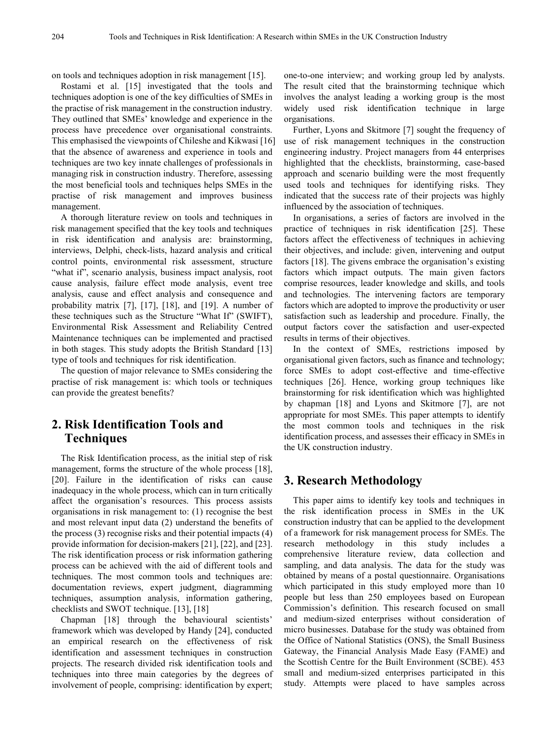on tools and techniques adoption in risk management [15].

Rostami et al. [15] investigated that the tools and techniques adoption is one of the key difficulties of SMEs in the practise of risk management in the construction industry. They outlined that SMEs' knowledge and experience in the process have precedence over organisational constraints. This emphasised the viewpoints of Chileshe and Kikwasi [16] that the absence of awareness and experience in tools and techniques are two key innate challenges of professionals in managing risk in construction industry. Therefore, assessing the most beneficial tools and techniques helps SMEs in the practise of risk management and improves business management.

A thorough literature review on tools and techniques in risk management specified that the key tools and techniques in risk identification and analysis are: brainstorming, interviews, Delphi, check-lists, hazard analysis and critical control points, environmental risk assessment, structure "what if", scenario analysis, business impact analysis, root cause analysis, failure effect mode analysis, event tree analysis, cause and effect analysis and consequence and probability matrix [7], [17], [18], and [19]. A number of these techniques such as the Structure "What If" (SWIFT), Environmental Risk Assessment and Reliability Centred Maintenance techniques can be implemented and practised in both stages. This study adopts the British Standard [13] type of tools and techniques for risk identification.

The question of major relevance to SMEs considering the practise of risk management is: which tools or techniques can provide the greatest benefits?

# **2. Risk Identification Tools and Techniques**

The Risk Identification process, as the initial step of risk management, forms the structure of the whole process [18], [20]. Failure in the identification of risks can cause inadequacy in the whole process, which can in turn critically affect the organisation's resources. This process assists organisations in risk management to: (1) recognise the best and most relevant input data (2) understand the benefits of the process (3) recognise risks and their potential impacts (4) provide information for decision-makers [21], [22], and [23]. The risk identification process or risk information gathering process can be achieved with the aid of different tools and techniques. The most common tools and techniques are: documentation reviews, expert judgment, diagramming techniques, assumption analysis, information gathering, checklists and SWOT technique. [13], [18]

Chapman [18] through the behavioural scientists' framework which was developed by Handy [24], conducted an empirical research on the effectiveness of risk identification and assessment techniques in construction projects. The research divided risk identification tools and techniques into three main categories by the degrees of involvement of people, comprising: identification by expert;

one-to-one interview; and working group led by analysts. The result cited that the brainstorming technique which involves the analyst leading a working group is the most widely used risk identification technique in large organisations.

Further, Lyons and Skitmore [7] sought the frequency of use of risk management techniques in the construction engineering industry. Project managers from 44 enterprises highlighted that the checklists, brainstorming, case-based approach and scenario building were the most frequently used tools and techniques for identifying risks. They indicated that the success rate of their projects was highly influenced by the association of techniques.

In organisations, a series of factors are involved in the practice of techniques in risk identification [25]. These factors affect the effectiveness of techniques in achieving their objectives, and include: given, intervening and output factors [18]. The givens embrace the organisation's existing factors which impact outputs. The main given factors comprise resources, leader knowledge and skills, and tools and technologies. The intervening factors are temporary factors which are adopted to improve the productivity or user satisfaction such as leadership and procedure. Finally, the output factors cover the satisfaction and user-expected results in terms of their objectives.

In the context of SMEs, restrictions imposed by organisational given factors, such as finance and technology; force SMEs to adopt cost-effective and time-effective techniques [26]. Hence, working group techniques like brainstorming for risk identification which was highlighted by chapman [18] and Lyons and Skitmore [7], are not appropriate for most SMEs. This paper attempts to identify the most common tools and techniques in the risk identification process, and assesses their efficacy in SMEs in the UK construction industry.

## **3. Research Methodology**

This paper aims to identify key tools and techniques in the risk identification process in SMEs in the UK construction industry that can be applied to the development of a framework for risk management process for SMEs. The research methodology in this study includes a comprehensive literature review, data collection and sampling, and data analysis. The data for the study was obtained by means of a postal questionnaire. Organisations which participated in this study employed more than 10 people but less than 250 employees based on European Commission's definition. This research focused on small and medium-sized enterprises without consideration of micro businesses. Database for the study was obtained from the Office of National Statistics (ONS), the Small Business Gateway, the Financial Analysis Made Easy (FAME) and the Scottish Centre for the Built Environment (SCBE). 453 small and medium-sized enterprises participated in this study. Attempts were placed to have samples across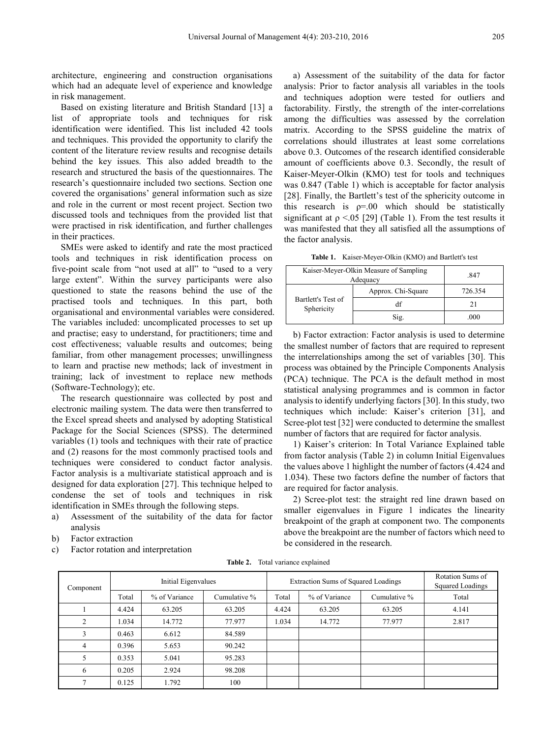architecture, engineering and construction organisations which had an adequate level of experience and knowledge in risk management.

Based on existing literature and British Standard [13] a list of appropriate tools and techniques for risk identification were identified. This list included 42 tools and techniques. This provided the opportunity to clarify the content of the literature review results and recognise details behind the key issues. This also added breadth to the research and structured the basis of the questionnaires. The research's questionnaire included two sections. Section one covered the organisations' general information such as size and role in the current or most recent project. Section two discussed tools and techniques from the provided list that were practised in risk identification, and further challenges in their practices.

SMEs were asked to identify and rate the most practiced tools and techniques in risk identification process on five-point scale from "not used at all" to "used to a very large extent". Within the survey participants were also questioned to state the reasons behind the use of the practised tools and techniques. In this part, both organisational and environmental variables were considered. The variables included: uncomplicated processes to set up and practise; easy to understand, for practitioners; time and cost effectiveness; valuable results and outcomes; being familiar, from other management processes; unwillingness to learn and practise new methods; lack of investment in training; lack of investment to replace new methods (Software-Technology); etc.

The research questionnaire was collected by post and electronic mailing system. The data were then transferred to the Excel spread sheets and analysed by adopting Statistical Package for the Social Sciences (SPSS). The determined variables (1) tools and techniques with their rate of practice and (2) reasons for the most commonly practised tools and techniques were considered to conduct factor analysis. Factor analysis is a multivariate statistical approach and is designed for data exploration [27]. This technique helped to condense the set of tools and techniques in risk identification in SMEs through the following steps.

- a) Assessment of the suitability of the data for factor analysis
- b) Factor extraction
- c) Factor rotation and interpretation

a) Assessment of the suitability of the data for factor analysis: Prior to factor analysis all variables in the tools and techniques adoption were tested for outliers and factorability. Firstly, the strength of the inter-correlations among the difficulties was assessed by the correlation matrix. According to the SPSS guideline the matrix of correlations should illustrates at least some correlations above 0.3. Outcomes of the research identified considerable amount of coefficients above 0.3. Secondly, the result of Kaiser-Meyer-Olkin (KMO) test for tools and techniques was 0.847 (Table 1) which is acceptable for factor analysis [28]. Finally, the Bartlett's test of the sphericity outcome in this research is  $p=0.0$  which should be statistically significant at  $\rho \le 0.05$  [29] (Table 1). From the test results it was manifested that they all satisfied all the assumptions of the factor analysis.

**Table 1.** Kaiser-Meyer-Olkin (KMO) and Bartlett's test

| Kaiser-Meyer-Olkin Measure of Sampling<br>Adequacy | .847               |         |  |
|----------------------------------------------------|--------------------|---------|--|
|                                                    | Approx. Chi-Square | 726.354 |  |
| Bartlett's Test of<br>Sphericity                   | df                 | 21      |  |
|                                                    | Sig.               | .000    |  |

b) Factor extraction: Factor analysis is used to determine the smallest number of factors that are required to represent the interrelationships among the set of variables [30]. This process was obtained by the Principle Components Analysis (PCA) technique. The PCA is the default method in most statistical analysing programmes and is common in factor analysis to identify underlying factors [30]. In this study, two techniques which include: Kaiser's criterion [31], and Scree-plot test [32] were conducted to determine the smallest number of factors that are required for factor analysis.

1) Kaiser's criterion: In Total Variance Explained table from factor analysis (Table 2) in column Initial Eigenvalues the values above 1 highlight the number of factors (4.424 and 1.034). These two factors define the number of factors that are required for factor analysis.

2) Scree-plot test: the straight red line drawn based on smaller eigenvalues in Figure 1 indicates the linearity breakpoint of the graph at component two. The components above the breakpoint are the number of factors which need to be considered in the research.

**Table 2.** Total variance explained

| Component      | Initial Eigenvalues |               | <b>Extraction Sums of Squared Loadings</b> |       |               | Rotation Sums of<br>Squared Loadings |       |
|----------------|---------------------|---------------|--------------------------------------------|-------|---------------|--------------------------------------|-------|
|                | Total               | % of Variance | Cumulative %                               | Total | % of Variance | Cumulative %                         | Total |
|                | 4.424               | 63.205        | 63.205                                     | 4.424 | 63.205        | 63.205                               | 4.141 |
| 2              | 1.034               | 14.772        | 77.977                                     | 1.034 | 14.772        | 77.977                               | 2.817 |
| 3              | 0.463               | 6.612         | 84.589                                     |       |               |                                      |       |
| 4              | 0.396               | 5.653         | 90.242                                     |       |               |                                      |       |
| 5              | 0.353               | 5.041         | 95.283                                     |       |               |                                      |       |
| 6              | 0.205               | 2.924         | 98.208                                     |       |               |                                      |       |
| $\overline{7}$ | 0.125               | 1.792         | 100                                        |       |               |                                      |       |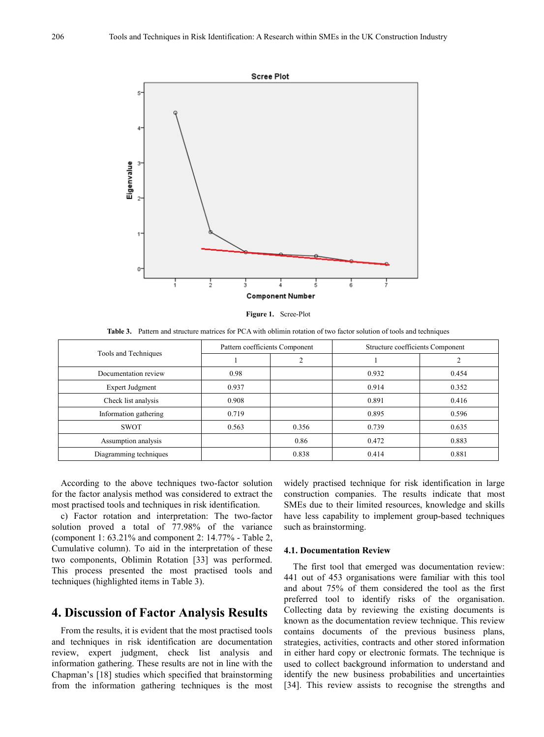

**Figure 1.** Scree-Plot

**Table 3.** Pattern and structure matrices for PCA with oblimin rotation of two factor solution of tools and techniques

|                        | Pattern coefficients Component |       | Structure coefficients Component |       |  |
|------------------------|--------------------------------|-------|----------------------------------|-------|--|
| Tools and Techniques   |                                | ◠     |                                  | ↑     |  |
| Documentation review   | 0.98                           |       | 0.932                            | 0.454 |  |
| Expert Judgment        | 0.937                          |       | 0.914                            | 0.352 |  |
| Check list analysis    | 0.908                          |       | 0.891                            | 0.416 |  |
| Information gathering  | 0.719                          |       | 0.895                            | 0.596 |  |
| <b>SWOT</b>            | 0.563                          | 0.356 | 0.739                            | 0.635 |  |
| Assumption analysis    |                                | 0.86  | 0.472                            | 0.883 |  |
| Diagramming techniques |                                | 0.838 | 0.414                            | 0.881 |  |

According to the above techniques two-factor solution for the factor analysis method was considered to extract the most practised tools and techniques in risk identification.

c) Factor rotation and interpretation: The two-factor solution proved a total of 77.98% of the variance (component 1: 63.21% and component 2: 14.77% - Table 2, Cumulative column). To aid in the interpretation of these two components, Oblimin Rotation [33] was performed. This process presented the most practised tools and techniques (highlighted items in Table 3).

# **4. Discussion of Factor Analysis Results**

From the results, it is evident that the most practised tools and techniques in risk identification are documentation review, expert judgment, check list analysis and information gathering. These results are not in line with the Chapman's [18] studies which specified that brainstorming from the information gathering techniques is the most

widely practised technique for risk identification in large construction companies. The results indicate that most SMEs due to their limited resources, knowledge and skills have less capability to implement group-based techniques such as brainstorming.

#### **4.1. Documentation Review**

The first tool that emerged was documentation review: 441 out of 453 organisations were familiar with this tool and about 75% of them considered the tool as the first preferred tool to identify risks of the organisation. Collecting data by reviewing the existing documents is known as the documentation review technique. This review contains documents of the previous business plans, strategies, activities, contracts and other stored information in either hard copy or electronic formats. The technique is used to collect background information to understand and identify the new business probabilities and uncertainties [34]. This review assists to recognise the strengths and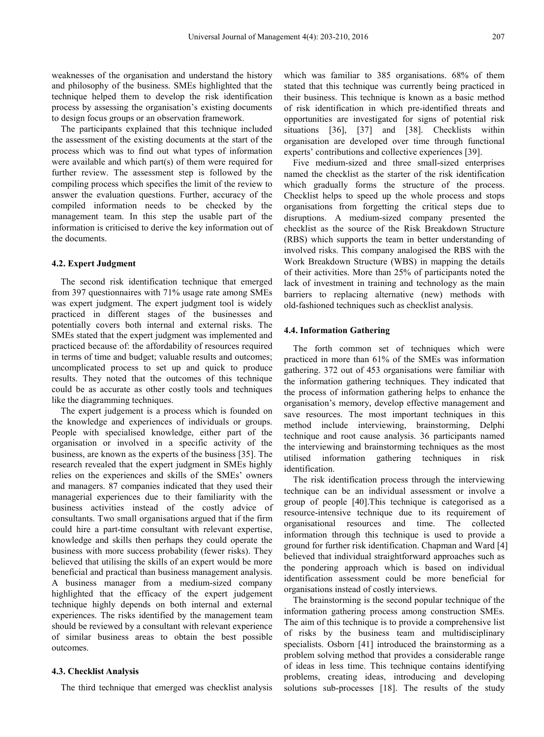weaknesses of the organisation and understand the history and philosophy of the business. SMEs highlighted that the technique helped them to develop the risk identification process by assessing the organisation's existing documents to design focus groups or an observation framework.

The participants explained that this technique included the assessment of the existing documents at the start of the process which was to find out what types of information were available and which part(s) of them were required for further review. The assessment step is followed by the compiling process which specifies the limit of the review to answer the evaluation questions. Further, accuracy of the compiled information needs to be checked by the management team. In this step the usable part of the information is criticised to derive the key information out of the documents.

#### **4.2. Expert Judgment**

The second risk identification technique that emerged from 397 questionnaires with 71% usage rate among SMEs was expert judgment. The expert judgment tool is widely practiced in different stages of the businesses and potentially covers both internal and external risks. The SMEs stated that the expert judgment was implemented and practiced because of: the affordability of resources required in terms of time and budget; valuable results and outcomes; uncomplicated process to set up and quick to produce results. They noted that the outcomes of this technique could be as accurate as other costly tools and techniques like the diagramming techniques.

The expert judgement is a process which is founded on the knowledge and experiences of individuals or groups. People with specialised knowledge, either part of the organisation or involved in a specific activity of the business, are known as the experts of the business [35]. The research revealed that the expert judgment in SMEs highly relies on the experiences and skills of the SMEs' owners and managers. 87 companies indicated that they used their managerial experiences due to their familiarity with the business activities instead of the costly advice of consultants. Two small organisations argued that if the firm could hire a part-time consultant with relevant expertise, knowledge and skills then perhaps they could operate the business with more success probability (fewer risks). They believed that utilising the skills of an expert would be more beneficial and practical than business management analysis. A business manager from a medium-sized company highlighted that the efficacy of the expert judgement technique highly depends on both internal and external experiences. The risks identified by the management team should be reviewed by a consultant with relevant experience of similar business areas to obtain the best possible outcomes.

#### **4.3. Checklist Analysis**

The third technique that emerged was checklist analysis

which was familiar to 385 organisations. 68% of them stated that this technique was currently being practiced in their business. This technique is known as a basic method of risk identification in which pre-identified threats and opportunities are investigated for signs of potential risk situations [36], [37] and [38]. Checklists within organisation are developed over time through functional experts' contributions and collective experiences [39].

Five medium-sized and three small-sized enterprises named the checklist as the starter of the risk identification which gradually forms the structure of the process. Checklist helps to speed up the whole process and stops organisations from forgetting the critical steps due to disruptions. A medium-sized company presented the checklist as the source of the Risk Breakdown Structure (RBS) which supports the team in better understanding of involved risks. This company analogised the RBS with the Work Breakdown Structure (WBS) in mapping the details of their activities. More than 25% of participants noted the lack of investment in training and technology as the main barriers to replacing alternative (new) methods with old-fashioned techniques such as checklist analysis.

#### **4.4. Information Gathering**

The forth common set of techniques which were practiced in more than 61% of the SMEs was information gathering. 372 out of 453 organisations were familiar with the information gathering techniques. They indicated that the process of information gathering helps to enhance the organisation's memory, develop effective management and save resources. The most important techniques in this method include interviewing, brainstorming, Delphi technique and root cause analysis. 36 participants named the interviewing and brainstorming techniques as the most utilised information gathering techniques in risk identification.

The risk identification process through the interviewing technique can be an individual assessment or involve a group of people [40].This technique is categorised as a resource-intensive technique due to its requirement of organisational resources and time. The collected information through this technique is used to provide a ground for further risk identification. Chapman and Ward [4] believed that individual straightforward approaches such as the pondering approach which is based on individual identification assessment could be more beneficial for organisations instead of costly interviews.

The brainstorming is the second popular technique of the information gathering process among construction SMEs. The aim of this technique is to provide a comprehensive list of risks by the business team and multidisciplinary specialists. Osborn [41] introduced the brainstorming as a problem solving method that provides a considerable range of ideas in less time. This technique contains identifying problems, creating ideas, introducing and developing solutions sub-processes [18]. The results of the study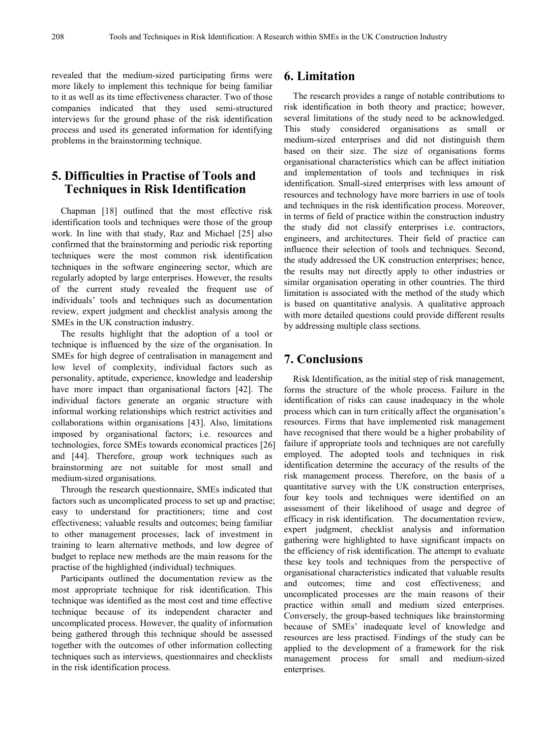revealed that the medium-sized participating firms were more likely to implement this technique for being familiar to it as well as its time effectiveness character. Two of those companies indicated that they used semi-structured interviews for the ground phase of the risk identification process and used its generated information for identifying problems in the brainstorming technique.

# **5. Difficulties in Practise of Tools and Techniques in Risk Identification**

Chapman [18] outlined that the most effective risk identification tools and techniques were those of the group work. In line with that study, Raz and Michael [25] also confirmed that the brainstorming and periodic risk reporting techniques were the most common risk identification techniques in the software engineering sector, which are regularly adopted by large enterprises. However, the results of the current study revealed the frequent use of individuals' tools and techniques such as documentation review, expert judgment and checklist analysis among the SMEs in the UK construction industry.

The results highlight that the adoption of a tool or technique is influenced by the size of the organisation. In SMEs for high degree of centralisation in management and low level of complexity, individual factors such as personality, aptitude, experience, knowledge and leadership have more impact than organisational factors [42]. The individual factors generate an organic structure with informal working relationships which restrict activities and collaborations within organisations [43]. Also, limitations imposed by organisational factors; i.e. resources and technologies, force SMEs towards economical practices [26] and [44]. Therefore, group work techniques such as brainstorming are not suitable for most small and medium-sized organisations.

Through the research questionnaire, SMEs indicated that factors such as uncomplicated process to set up and practise; easy to understand for practitioners; time and cost effectiveness; valuable results and outcomes; being familiar to other management processes; lack of investment in training to learn alternative methods, and low degree of budget to replace new methods are the main reasons for the practise of the highlighted (individual) techniques.

Participants outlined the documentation review as the most appropriate technique for risk identification. This technique was identified as the most cost and time effective technique because of its independent character and uncomplicated process. However, the quality of information being gathered through this technique should be assessed together with the outcomes of other information collecting techniques such as interviews, questionnaires and checklists in the risk identification process.

## **6. Limitation**

The research provides a range of notable contributions to risk identification in both theory and practice; however, several limitations of the study need to be acknowledged. This study considered organisations as small or medium-sized enterprises and did not distinguish them based on their size. The size of organisations forms organisational characteristics which can be affect initiation and implementation of tools and techniques in risk identification. Small-sized enterprises with less amount of resources and technology have more barriers in use of tools and techniques in the risk identification process. Moreover, in terms of field of practice within the construction industry the study did not classify enterprises i.e. contractors, engineers, and architectures. Their field of practice can influence their selection of tools and techniques. Second, the study addressed the UK construction enterprises; hence, the results may not directly apply to other industries or similar organisation operating in other countries. The third limitation is associated with the method of the study which is based on quantitative analysis. A qualitative approach with more detailed questions could provide different results by addressing multiple class sections.

# **7. Conclusions**

Risk Identification, as the initial step of risk management, forms the structure of the whole process. Failure in the identification of risks can cause inadequacy in the whole process which can in turn critically affect the organisation's resources. Firms that have implemented risk management have recognised that there would be a higher probability of failure if appropriate tools and techniques are not carefully employed. The adopted tools and techniques in risk identification determine the accuracy of the results of the risk management process. Therefore, on the basis of a quantitative survey with the UK construction enterprises, four key tools and techniques were identified on an assessment of their likelihood of usage and degree of efficacy in risk identification. The documentation review, expert judgment, checklist analysis and information gathering were highlighted to have significant impacts on the efficiency of risk identification. The attempt to evaluate these key tools and techniques from the perspective of organisational characteristics indicated that valuable results and outcomes; time and cost effectiveness; and uncomplicated processes are the main reasons of their practice within small and medium sized enterprises. Conversely, the group-based techniques like brainstorming because of SMEs' inadequate level of knowledge and resources are less practised. Findings of the study can be applied to the development of a framework for the risk management process for small and medium-sized enterprises.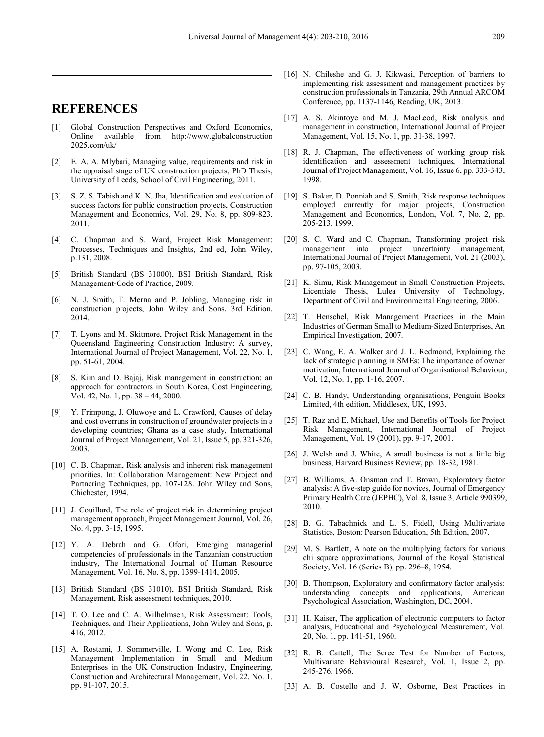## **REFERENCES**

- [1] Global Construction Perspectives and Oxford Economics, Online available from http://www.globalconstruction 2025.com/uk/
- [2] E. A. A. Mlybari, Managing value, requirements and risk in the appraisal stage of UK construction projects, PhD Thesis, University of Leeds, School of Civil Engineering, 2011.
- [3] S. Z. S. Tabish and K. N. Jha, Identification and evaluation of success factors for public construction projects, Construction Management and Economics, Vol. 29, No. 8, pp. 809-823, 2011.
- [4] C. Chapman and S. Ward, Project Risk Management: Processes, Techniques and Insights, 2nd ed, John Wiley, p.131, 2008.
- [5] British Standard (BS 31000), BSI British Standard, Risk Management-Code of Practice, 2009.
- [6] N. J. Smith, T. Merna and P. Jobling, Managing risk in construction projects, John Wiley and Sons, 3rd Edition, 2014.
- [7] T. Lyons and M. Skitmore, Project Risk Management in the Queensland Engineering Construction Industry: A survey, International Journal of Project Management, Vol. 22, No. 1, pp. 51-61, 2004.
- [8] S. Kim and D. Bajaj, Risk management in construction: an approach for contractors in South Korea, Cost Engineering, Vol. 42, No. 1, pp. 38 – 44, 2000.
- [9] Y. Frimpong, J. Oluwoye and L. Crawford, Causes of delay and cost overruns in construction of groundwater projects in a developing countries; Ghana as a case study, International Journal of Project Management, Vol. 21, Issue 5, pp. 321-326, 2003.
- [10] C. B. Chapman, Risk analysis and inherent risk management priorities. In: Collaboration Management: New Project and Partnering Techniques, pp. 107-128. John Wiley and Sons, Chichester, 1994.
- [11] J. Couillard, The role of project risk in determining project management approach, Project Management Journal, Vol. 26, No. 4, pp. 3-15, 1995.
- [12] Y. A. Debrah and G. Ofori, Emerging managerial competencies of professionals in the Tanzanian construction industry, The International Journal of Human Resource Management, Vol. 16, No. 8, pp. 1399-1414, 2005.
- [13] British Standard (BS 31010), BSI British Standard, Risk Management, Risk assessment techniques, 2010.
- [14] T. O. Lee and C. A. Wilhelmsen, Risk Assessment: Tools, Techniques, and Their Applications, John Wiley and Sons, p. 416, 2012.
- [15] A. Rostami, J. Sommerville, I. Wong and C. Lee, Risk Management Implementation in Small and Medium Enterprises in the UK Construction Industry, Engineering, Construction and Architectural Management, Vol. 22, No. 1, pp. 91-107, 2015.
- [16] N. Chileshe and G. J. Kikwasi, Perception of barriers to implementing risk assessment and management practices by construction professionals in Tanzania, 29th Annual ARCOM Conference, pp. 1137-1146, Reading, UK, 2013.
- [17] A. S. Akintoye and M. J. MacLeod, Risk analysis and management in construction, International Journal of Project Management, Vol. 15, No. 1, pp. 31-38, 1997.
- [18] R. J. Chapman, The effectiveness of working group risk identification and assessment techniques, International Journal of Project Management, Vol. 16, Issue 6, pp. 333-343, 1998.
- [19] S. Baker, D. Ponniah and S. Smith, Risk response techniques employed currently for major projects, Construction Management and Economics, London, Vol. 7, No. 2, pp. 205-213, 1999.
- [20] S. C. Ward and C. Chapman, Transforming project risk management into project uncertainty management, International Journal of Project Management, Vol. 21 (2003), pp. 97-105, 2003.
- [21] K. Simu, Risk Management in Small Construction Projects, Licentiate Thesis, Lulea University of Technology, Department of Civil and Environmental Engineering, 2006.
- [22] T. Henschel, Risk Management Practices in the Main Industries of German Small to Medium-Sized Enterprises, An Empirical Investigation, 2007.
- [23] C. Wang, E. A. Walker and J. L. Redmond, Explaining the lack of strategic planning in SMEs: The importance of owner motivation, International Journal of Organisational Behaviour, Vol. 12, No. 1, pp. 1-16, 2007.
- [24] C. B. Handy, Understanding organisations, Penguin Books Limited, 4th edition, Middlesex, UK, 1993.
- [25] T. Raz and E. Michael, Use and Benefits of Tools for Project Risk Management, International Journal of Project Management, Vol. 19 (2001), pp. 9-17, 2001.
- [26] J. Welsh and J. White, A small business is not a little big business, Harvard Business Review, pp. 18-32, 1981.
- [27] B. Williams, A. Onsman and T. Brown, Exploratory factor analysis: A five-step guide for novices, Journal of Emergency Primary Health Care (JEPHC), Vol. 8, Issue 3, Article 990399, 2010.
- [28] B. G. Tabachnick and L. S. Fidell, Using Multivariate Statistics, Boston: Pearson Education, 5th Edition, 2007.
- [29] M. S. Bartlett, A note on the multiplying factors for various chi square approximations, Journal of the Royal Statistical Society, Vol. 16 (Series B), pp. 296–8, 1954.
- [30] B. Thompson, Exploratory and confirmatory factor analysis: understanding concepts and applications, American Psychological Association, Washington, DC, 2004.
- [31] H. Kaiser, The application of electronic computers to factor analysis, Educational and Psychological Measurement, Vol. 20, No. 1, pp. 141-51, 1960.
- [32] R. B. Cattell, The Scree Test for Number of Factors, Multivariate Behavioural Research, Vol. 1, Issue 2, pp. 245-276, 1966.
- [33] A. B. Costello and J. W. Osborne, Best Practices in